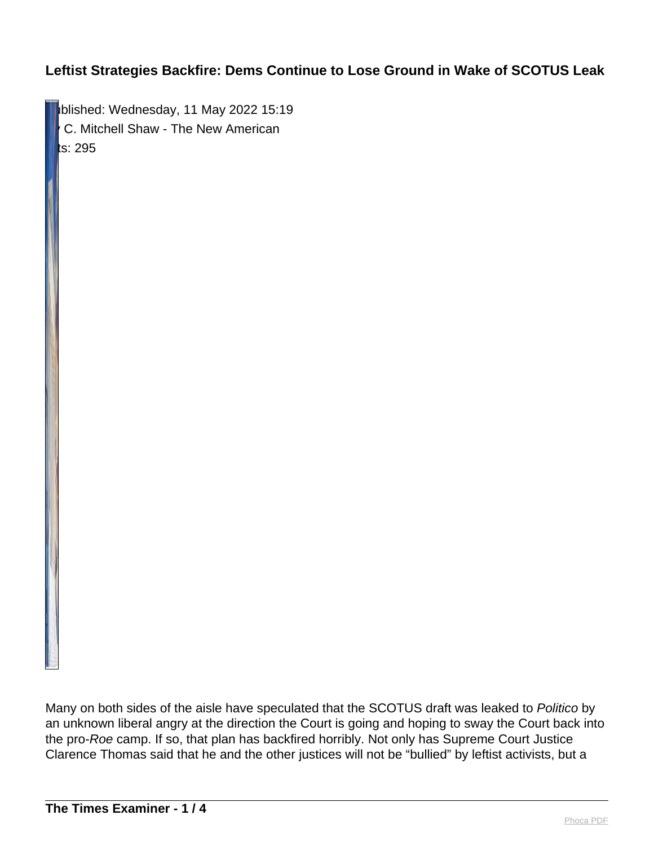blished: Wednesday, 11 May 2022 15:19 C. Mitchell Shaw - The New American ts: 295 $\,$ 

Many on both sides of the aisle have speculated that the SCOTUS draft was leaked to Politico by an unknown liberal angry at the direction the Court is going and hoping to sway the Court back into the pro-Roe camp. If so, that plan has backfired horribly. Not only has Supreme Court Justice Clarence Thomas said that he and the other justices will not be "bullied" by leftist activists, but a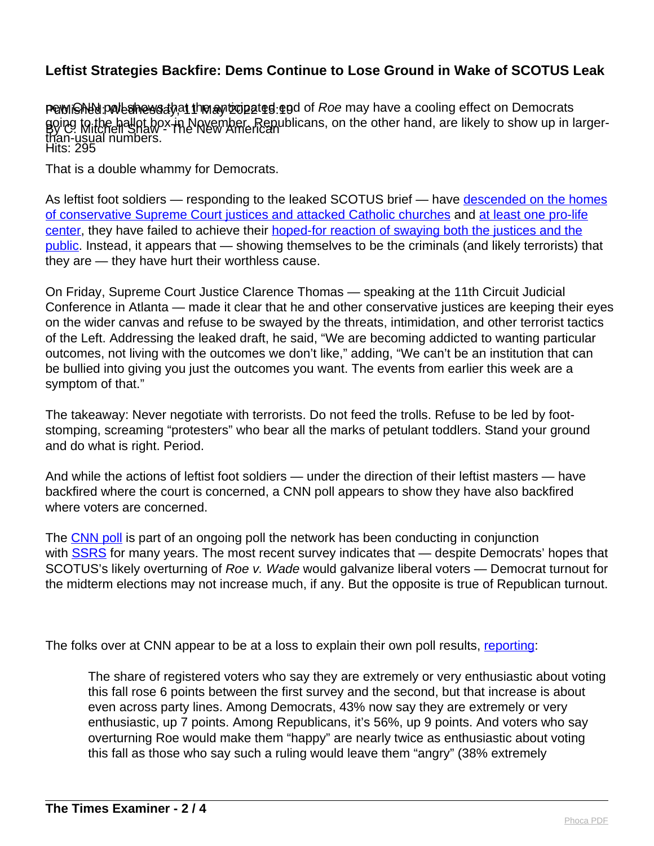Published: Poll shows that the anticipated end of Roe may have a cooling effect on Democrats By C. Mitchell Shaw - The New American Hits: 295 going to the ballot box in November. Republicans, on the other hand, are likely to show up in largerthan-usual numbers.

That is a double whammy for Democrats.

As leftist foot soldiers — responding to the leaked SCOTUS brief — have [descended on the homes](https://thenewamerican.com/pro-abortion-terrorism-leftists-descend-on-justices-homes-vandalize-and-firebomb-pro-life-organizations-disrupt-church-services/) [of conservative Supreme Court justices and attacked Catholic churches](https://thenewamerican.com/pro-abortion-terrorism-leftists-descend-on-justices-homes-vandalize-and-firebomb-pro-life-organizations-disrupt-church-services/) and [at least one pro-life](https://thenewamerican.com/wisconsin-pro-life-organization-firebombed-pro-abortion-groups-ramping-up-violence-across-the-country/) [center,](https://thenewamerican.com/wisconsin-pro-life-organization-firebombed-pro-abortion-groups-ramping-up-violence-across-the-country/) they have failed to achieve their [hoped-for reaction of swaying both the justices and the](https://thenewamerican.com/leftist-pro-abortion-groups-dox-and-target-conservative-scotus-justices-in-wake-of-roe-v-wade-leak/) [public.](https://thenewamerican.com/leftist-pro-abortion-groups-dox-and-target-conservative-scotus-justices-in-wake-of-roe-v-wade-leak/) Instead, it appears that — showing themselves to be the criminals (and likely terrorists) that they are — they have hurt their worthless cause.

On Friday, Supreme Court Justice Clarence Thomas — speaking at the 11th Circuit Judicial Conference in Atlanta — made it clear that he and other conservative justices are keeping their eyes on the wider canvas and refuse to be swayed by the threats, intimidation, and other terrorist tactics of the Left. Addressing the leaked draft, he said, "We are becoming addicted to wanting particular outcomes, not living with the outcomes we don't like," adding, "We can't be an institution that can be bullied into giving you just the outcomes you want. The events from earlier this week are a symptom of that."

The takeaway: Never negotiate with terrorists. Do not feed the trolls. Refuse to be led by footstomping, screaming "protesters" who bear all the marks of petulant toddlers. Stand your ground and do what is right. Period.

And while the actions of leftist foot soldiers — under the direction of their leftist masters — have backfired where the court is concerned, a CNN poll appears to show they have also backfired where voters are concerned.

The [CNN poll](https://s3.documentcloud.org/documents/21903171/abortion-politics.pdf) is part of an ongoing poll the network has been conducting in conjunction with [SSRS](https://ssrs.com/) for many years. The most recent survey indicates that — despite Democrats' hopes that SCOTUS's likely overturning of Roe v. Wade would galvanize liberal voters — Democrat turnout for the midterm elections may not increase much, if any. But the opposite is true of Republican turnout.

The folks over at CNN appear to be at a loss to explain their own poll results, [reporting:](https://www.cnn.com/2022/05/06/politics/cnn-poll-abortion-midterms-roe-v-wade/index.html)

The share of registered voters who say they are extremely or very enthusiastic about voting this fall rose 6 points between the first survey and the second, but that increase is about even across party lines. Among Democrats, 43% now say they are extremely or very enthusiastic, up 7 points. Among Republicans, it's 56%, up 9 points. And voters who say overturning Roe would make them "happy" are nearly twice as enthusiastic about voting this fall as those who say such a ruling would leave them "angry" (38% extremely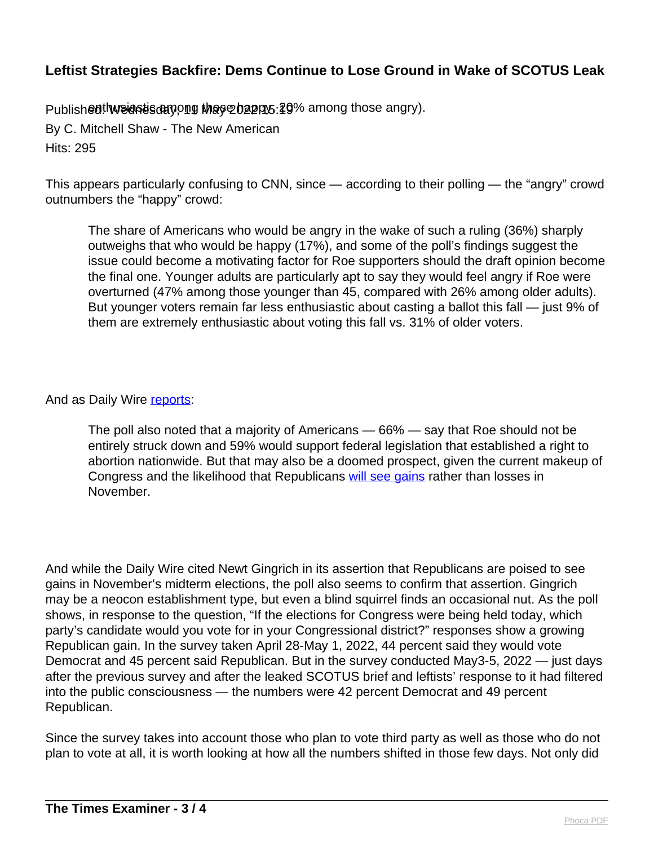Published<sup>th</sup>weightischnow those bappys: 20% among those angry).

By C. Mitchell Shaw - The New American Hits: 295

This appears particularly confusing to CNN, since — according to their polling — the "angry" crowd outnumbers the "happy" crowd:

The share of Americans who would be angry in the wake of such a ruling (36%) sharply outweighs that who would be happy (17%), and some of the poll's findings suggest the issue could become a motivating factor for Roe supporters should the draft opinion become the final one. Younger adults are particularly apt to say they would feel angry if Roe were overturned (47% among those younger than 45, compared with 26% among older adults). But younger voters remain far less enthusiastic about casting a ballot this fall — just 9% of them are extremely enthusiastic about voting this fall vs. 31% of older voters.

#### And as Daily Wire [reports:](https://www.dailywire.com/news/oops-scotus-draft-leak-may-drive-more-republicans-to-voting-booths-poll-says)

The poll also noted that a majority of Americans — 66% — say that Roe should not be entirely struck down and 59% would support federal legislation that established a right to abortion nationwide. But that may also be a doomed prospect, given the current makeup of Congress and the likelihood that Republicans [will see gains](https://dailywire.com/news/newt-gingrich-predicts-gop-could-gain-up-to-70-house-seats-in-midterms/) rather than losses in November.

And while the Daily Wire cited Newt Gingrich in its assertion that Republicans are poised to see gains in November's midterm elections, the poll also seems to confirm that assertion. Gingrich may be a neocon establishment type, but even a blind squirrel finds an occasional nut. As the poll shows, in response to the question, "If the elections for Congress were being held today, which party's candidate would you vote for in your Congressional district?" responses show a growing Republican gain. In the survey taken April 28-May 1, 2022, 44 percent said they would vote Democrat and 45 percent said Republican. But in the survey conducted May3-5, 2022 — just days after the previous survey and after the leaked SCOTUS brief and leftists' response to it had filtered into the public consciousness — the numbers were 42 percent Democrat and 49 percent Republican.

Since the survey takes into account those who plan to vote third party as well as those who do not plan to vote at all, it is worth looking at how all the numbers shifted in those few days. Not only did